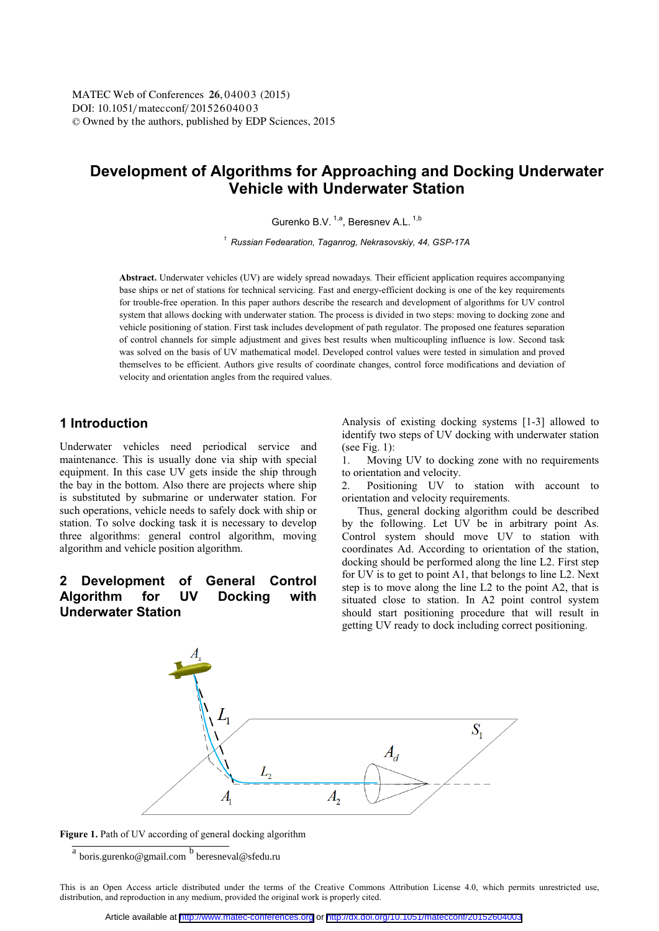# **Development of Algorithms for Approaching and Docking Underwater Vehicle with Underwater Station**

Gurenko B.V. <sup>1,a</sup>, Beresnev A.L. <sup>1,b</sup>

*<sup>1</sup> Russian Fedearation, Taganrog, Nekrasovskiy, 44, GSP-17A* 

**Abstract.** Underwater vehicles (UV) are widely spread nowadays. Their efficient application requires accompanying base ships or net of stations for technical servicing. Fast and energy-efficient docking is one of the key requirements for trouble-free operation. In this paper authors describe the research and development of algorithms for UV control system that allows docking with underwater station. The process is divided in two steps: moving to docking zone and vehicle positioning of station. First task includes development of path regulator. The proposed one features separation of control channels for simple adjustment and gives best results when multicoupling influence is low. Second task was solved on the basis of UV mathematical model. Developed control values were tested in simulation and proved themselves to be efficient. Authors give results of coordinate changes, control force modifications and deviation of velocity and orientation angles from the required values.

## **1 Introduction**

Underwater vehicles need periodical service and maintenance. This is usually done via ship with special equipment. In this case UV gets inside the ship through the bay in the bottom. Also there are projects where ship is substituted by submarine or underwater station. For such operations, vehicle needs to safely dock with ship or station. To solve docking task it is necessary to develop three algorithms: general control algorithm, moving algorithm and vehicle position algorithm.

# **2 Development of General Control Algorithm for UV Docking with Underwater Station**

Analysis of existing docking systems [1-3] allowed to identify two steps of UV docking with underwater station (see Fig. 1):

1. Moving UV to docking zone with no requirements to orientation and velocity.

2. Positioning UV to station with account to orientation and velocity requirements.

Thus, general docking algorithm could be described by the following. Let UV be in arbitrary point As. Control system should move UV to station with coordinates Ad. According to orientation of the station, docking should be performed along the line L2. First step for UV is to get to point A1, that belongs to line L2. Next step is to move along the line L2 to the point A2, that is situated close to station. In A2 point control system should start positioning procedure that will result in getting UV ready to dock including correct positioning.



Figure 1. Path of UV according of general docking algorithm

<sup>&</sup>lt;sup>a</sup> boris.gurenko@gmail.com <sup>b</sup> beresneval@sfedu.ru

This is an Open Access article distributed under the terms of the Creative Commons Attribution License 4.0, which permits unrestricted use, distribution, and reproduction in any medium, provided the original work is properly cited.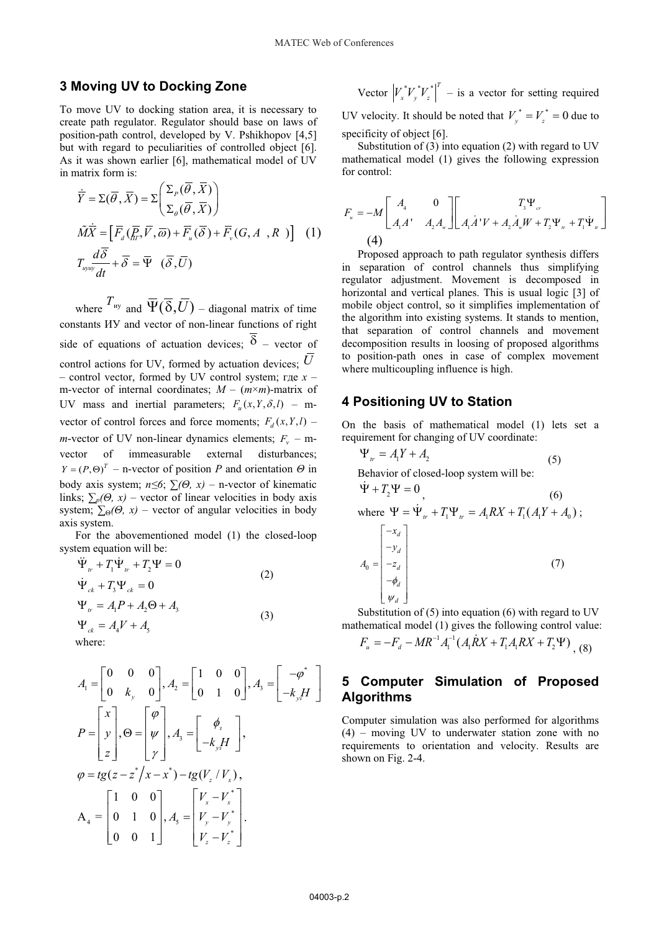#### **3 Moving UV to Docking Zone**

To move UV to docking station area, it is necessary to create path regulator. Regulator should base on laws of position-path control, developed by V. Pshikhopov [4,5] but with regard to peculiarities of controlled object [6]. As it was shown earlier [6], mathematical model of UV in matrix form is:

$$
\dot{\overline{Y}} = \Sigma(\overline{\theta}, \overline{X}) = \Sigma \left( \frac{\Sigma_p(\overline{\theta}, \overline{X})}{\Sigma_{\theta}(\overline{\theta}, \overline{X})} \right)
$$
  
\n
$$
\tilde{M}\overline{X} = \left[ \overline{F}_d(\overline{F}_m, \overline{V}, \overline{\omega}) + \overline{F}_u(\overline{\delta}) + \overline{F}_v(G, A, R) \right]
$$
 (1)  
\n
$$
T_{\text{query}} \frac{d\overline{\delta}}{dt} + \overline{\delta} = \overline{\Psi} \quad (\overline{\delta}, \overline{U})
$$

where  $T_{\text{uy}}$  and  $\overline{\Psi}(\overline{\delta}, \overline{U})$  – diagonal matrix of time constants HV and vector of non-linear functions of right side of equations of actuation devices;  $\delta$  – vector of control actions for UV, formed by actuation devices; *U* - control vector, formed by UV control system; rge  $x$ m-vector of internal coordinates;  $M - (m \times m)$ -matrix of UV mass and inertial parameters;  $F_u(x, Y, \delta, l)$  – mvector of control forces and force moments;  $F_d(x, Y, l)$  – *m*-vector of UV non-linear dynamics elements;  $F_v$  – mvector of immeasurable external disturbances;  $Y = (P, \Theta)^T$  – n-vector of position *P* and orientation  $\Theta$  in body axis system;  $n \leq 6$ ;  $\sum (\Theta, x)$  – n-vector of kinematic links;  $\sum_{p}(\Theta, x)$  – vector of linear velocities in body axis system;  $\sum_{\theta}(\theta, x)$  – vector of angular velocities in body axis system.

For the abovementioned model (1) the closed-loop system equation will be:

$$
\ddot{\Psi}_{tr} + T_1 \dot{\Psi}_{tr} + T_2 \Psi = 0
$$
\n
$$
\dot{\Psi}_{ck} + T_3 \Psi_{ck} = 0
$$
\n
$$
\Psi_{tr} = A_1 P + A_2 \Theta + A_3
$$
\n
$$
\Psi_{ck} = A_4 V + A_5
$$
\nwhere: (3)

$$
A_1 = \begin{bmatrix} 0 & 0 & 0 \\ 0 & k_y & 0 \end{bmatrix}, A_2 = \begin{bmatrix} 1 & 0 & 0 \\ 0 & 1 & 0 \end{bmatrix}, A_3 = \begin{bmatrix} -\varphi^* \\ -k_y H \end{bmatrix}
$$
  
\n
$$
P = \begin{bmatrix} x \\ y \\ z \end{bmatrix}, \Theta = \begin{bmatrix} \varphi \\ \psi \\ \gamma \end{bmatrix}, A_3 = \begin{bmatrix} \phi_s \\ -k_y H \end{bmatrix},
$$
  
\n
$$
\varphi = tg(z - z^*/x - x^*) - tg(V_z/V_x),
$$
  
\n
$$
A_4 = \begin{bmatrix} 1 & 0 & 0 \\ 0 & 1 & 0 \\ 0 & 0 & 1 \end{bmatrix}, A_5 = \begin{bmatrix} V_x - V_x^* \\ V_y - V_y^* \\ V_z - V_z^* \end{bmatrix}.
$$

Vector 
$$
|V_x^*V_y^*V_z^*|^T
$$
 – is a vector for setting required  
UV velocity. It should be noted that  $V_y^* = V_z^* = 0$  due to  
specificity of object [6].

Substitution of  $(3)$  into equation  $(2)$  with regard to UV mathematical model (1) gives the following expression for control:

$$
F_{u} = -M \begin{bmatrix} A_{4} & 0 \\ A_{1}A' & A_{2}A_{w} \end{bmatrix} \begin{bmatrix} T_{3}\Psi_{cr} \\ A_{1}A'V + A_{2}A_{w}W + T_{2}\Psi_{w} + T_{1}\Psi_{w} \end{bmatrix}
$$
  
(4)

Proposed approach to path regulator synthesis differs in separation of control channels thus simplifying regulator adjustment. Movement is decomposed in horizontal and vertical planes. This is usual logic [3] of mobile object control, so it simplifies implementation of the algorithm into existing systems. It stands to mention, that separation of control channels and movement decomposition results in loosing of proposed algorithms to position-path ones in case of complex movement where multicoupling influence is high.

### **4 Positioning UV to Station**

On the basis of mathematical model (1) lets set a requirement for changing of UV coordinate:

$$
\Psi_{tr} = A_1 Y + A_2
$$
\nBehavior of closed-loop system will be:

\n
$$
\dot{\Psi} + T_2 \Psi = 0
$$
\nwhere  $\Psi = \dot{\Psi}_{tr} + T_1 \Psi_{tr} = A_1 RX + T_1 (A_1 Y + A_0)$ ;

\n
$$
\begin{bmatrix}\n-x_d \\
-y_d \\
-z_d \\
-\phi_d \\
\psi_d\n\end{bmatrix}
$$
\n(7)

Substitution of (5) into equation (6) with regard to UV mathematical model (1) gives the following control value:

$$
F_u = -F_d - MR^{-1}A_1^{-1}(A_1\dot{R}X + T_1A_1RX + T_2\Psi)_{(8)}
$$

### **5 Computer Simulation of Proposed Algorithms**

Computer simulation was also performed for algorithms (4) – moving UV to underwater station zone with no requirements to orientation and velocity. Results are shown on Fig. 2-4.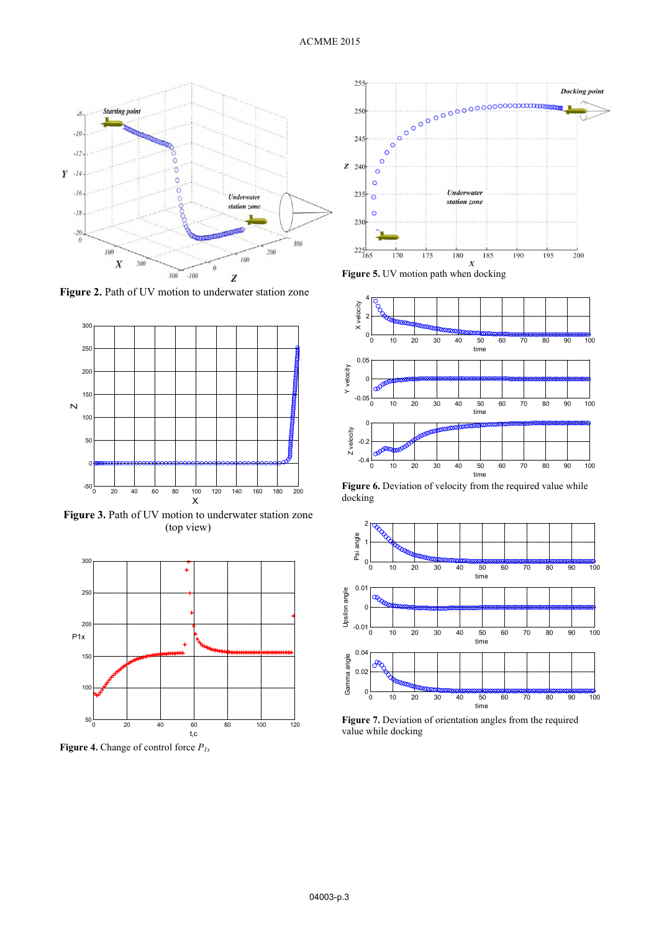

Figure 2. Path of UV motion to underwater station zone



**Figure 3.** Path of UV motion to underwater station zone (top view) (top view)



**Figure 4.** Change of control force  $P_{1x}$ 



**Figure 5.** UV motion path when docking



**Figure 6.** Deviation of velocity from the required value while docking docking



**Figure 7.** Deviation of orientation angles from the required value while docking value while docking